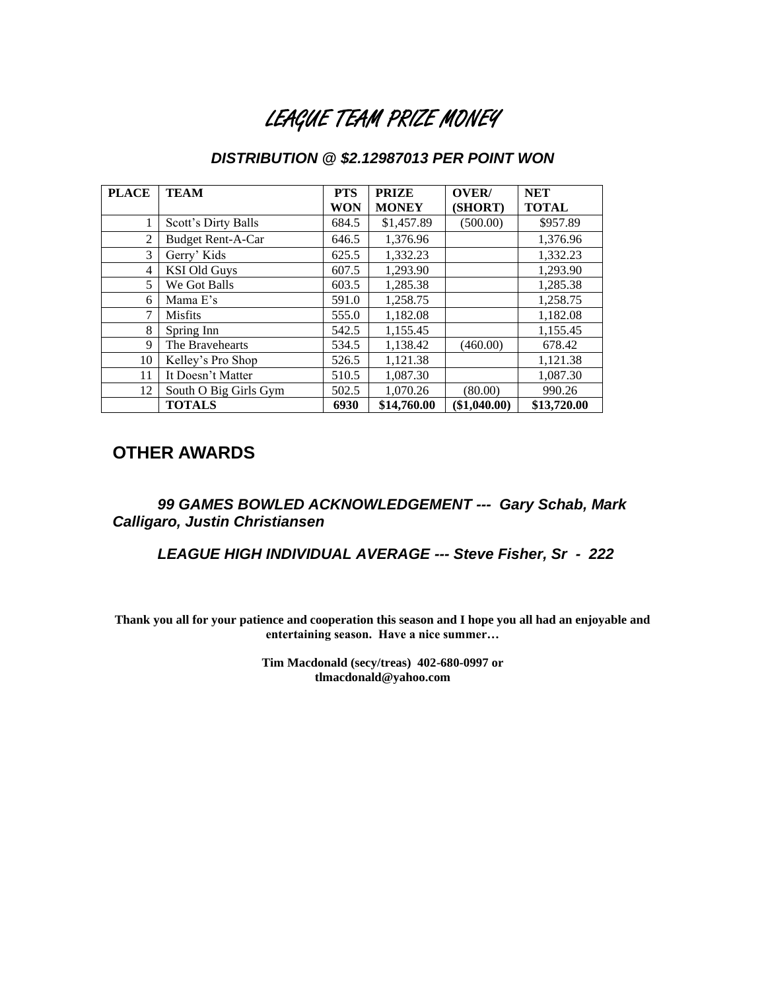## LEAGUE TEAM PRIZE MONEY

### *DISTRIBUTION @ \$2.12987013 PER POINT WON*

| <b>PLACE</b>   | <b>TEAM</b>              | <b>PTS</b> | <b>PRIZE</b> | OVER/      | <b>NET</b>   |
|----------------|--------------------------|------------|--------------|------------|--------------|
|                |                          | WON        | <b>MONEY</b> | (SHORT)    | <b>TOTAL</b> |
| 1              | Scott's Dirty Balls      | 684.5      | \$1,457.89   | (500.00)   | \$957.89     |
| 2              | <b>Budget Rent-A-Car</b> | 646.5      | 1,376.96     |            | 1,376.96     |
| 3              | Gerry' Kids              | 625.5      | 1,332.23     |            | 1,332.23     |
| $\overline{4}$ | <b>KSI Old Guys</b>      | 607.5      | 1,293.90     |            | 1,293.90     |
| 5              | We Got Balls             | 603.5      | 1,285.38     |            | 1,285.38     |
| 6              | Mama E's                 | 591.0      | 1,258.75     |            | 1,258.75     |
| 7              | <b>Misfits</b>           | 555.0      | 1,182.08     |            | 1,182.08     |
| 8              | Spring Inn               | 542.5      | 1,155.45     |            | 1,155.45     |
| 9              | The Bravehearts          | 534.5      | 1.138.42     | (460.00)   | 678.42       |
| 10             | Kelley's Pro Shop        | 526.5      | 1.121.38     |            | 1,121.38     |
| 11             | It Doesn't Matter        | 510.5      | 1,087.30     |            | 1,087.30     |
| 12             | South O Big Girls Gym    | 502.5      | 1,070.26     | (80.00)    | 990.26       |
|                | <b>TOTALS</b>            | 6930       | \$14,760.00  | \$1,040.00 | \$13,720.00  |

### **OTHER AWARDS**

*99 GAMES BOWLED ACKNOWLEDGEMENT --- Gary Schab, Mark Calligaro, Justin Christiansen*

*LEAGUE HIGH INDIVIDUAL AVERAGE --- Steve Fisher, Sr - 222*

**Thank you all for your patience and cooperation this season and I hope you all had an enjoyable and entertaining season. Have a nice summer…**

> **Tim Macdonald (secy/treas) 402-680-0997 or tlmacdonald@yahoo.com**